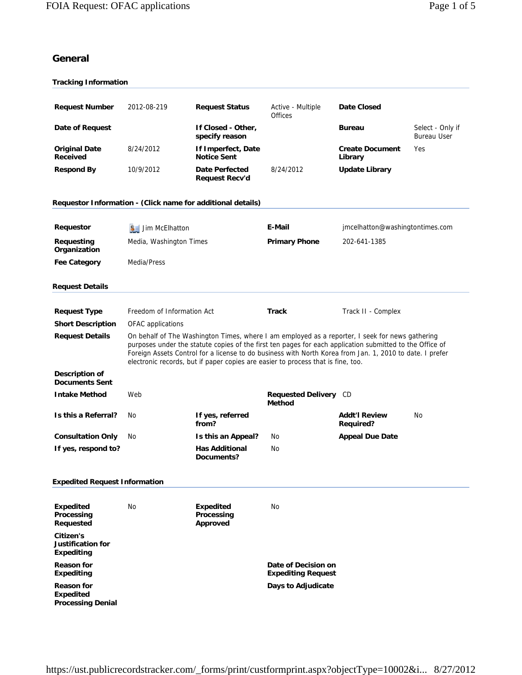# **General**

| <b>Tracking Information</b>                                       |                                                                                                                                                                                                                                                                                                                                                                                                             |                                                   |                                                  |                                          |                                        |
|-------------------------------------------------------------------|-------------------------------------------------------------------------------------------------------------------------------------------------------------------------------------------------------------------------------------------------------------------------------------------------------------------------------------------------------------------------------------------------------------|---------------------------------------------------|--------------------------------------------------|------------------------------------------|----------------------------------------|
| <b>Request Number</b>                                             | 2012-08-219                                                                                                                                                                                                                                                                                                                                                                                                 | <b>Request Status</b>                             | Active - Multiple                                | <b>Date Closed</b>                       |                                        |
| Date of Request                                                   |                                                                                                                                                                                                                                                                                                                                                                                                             | If Closed - Other,<br>specify reason              | <b>Offices</b>                                   | <b>Bureau</b>                            | Select - Only if<br><b>Bureau User</b> |
| <b>Original Date</b><br><b>Received</b>                           | 8/24/2012                                                                                                                                                                                                                                                                                                                                                                                                   | If Imperfect, Date<br><b>Notice Sent</b>          |                                                  | <b>Create Document</b><br>Library        | Yes                                    |
| <b>Respond By</b>                                                 | 10/9/2012                                                                                                                                                                                                                                                                                                                                                                                                   | <b>Date Perfected</b><br><b>Request Recv'd</b>    | 8/24/2012                                        | <b>Update Library</b>                    |                                        |
| Requestor Information - (Click name for additional details)       |                                                                                                                                                                                                                                                                                                                                                                                                             |                                                   |                                                  |                                          |                                        |
| Requestor                                                         | $3$ Jim McElhatton                                                                                                                                                                                                                                                                                                                                                                                          |                                                   | E-Mail                                           | jmcelhatton@washingtontimes.com          |                                        |
| Requesting<br>Organization                                        | Media, Washington Times                                                                                                                                                                                                                                                                                                                                                                                     |                                                   | <b>Primary Phone</b>                             | 202-641-1385                             |                                        |
| <b>Fee Category</b>                                               | Media/Press                                                                                                                                                                                                                                                                                                                                                                                                 |                                                   |                                                  |                                          |                                        |
| <b>Request Details</b>                                            |                                                                                                                                                                                                                                                                                                                                                                                                             |                                                   |                                                  |                                          |                                        |
| <b>Request Type</b>                                               | Freedom of Information Act                                                                                                                                                                                                                                                                                                                                                                                  |                                                   | <b>Track</b>                                     | Track II - Complex                       |                                        |
| <b>Short Description</b>                                          | OFAC applications                                                                                                                                                                                                                                                                                                                                                                                           |                                                   |                                                  |                                          |                                        |
| <b>Request Details</b>                                            | On behalf of The Washington Times, where I am employed as a reporter, I seek for news gathering<br>purposes under the statute copies of the first ten pages for each application submitted to the Office of<br>Foreign Assets Control for a license to do business with North Korea from Jan. 1, 2010 to date. I prefer<br>electronic records, but if paper copies are easier to process that is fine, too. |                                                   |                                                  |                                          |                                        |
| Description of<br><b>Documents Sent</b>                           |                                                                                                                                                                                                                                                                                                                                                                                                             |                                                   |                                                  |                                          |                                        |
| <b>Intake Method</b>                                              | Web                                                                                                                                                                                                                                                                                                                                                                                                         |                                                   | <b>Requested Delivery</b> CD<br><b>Method</b>    |                                          |                                        |
| Is this a Referral?                                               | No                                                                                                                                                                                                                                                                                                                                                                                                          | If yes, referred<br>from?                         |                                                  | <b>Addt'l Review</b><br><b>Required?</b> | No                                     |
| <b>Consultation Only</b>                                          | No                                                                                                                                                                                                                                                                                                                                                                                                          | Is this an Appeal?                                | No                                               | <b>Appeal Due Date</b>                   |                                        |
| If yes, respond to?                                               |                                                                                                                                                                                                                                                                                                                                                                                                             | <b>Has Additional</b><br><b>Documents?</b>        | No                                               |                                          |                                        |
| <b>Expedited Request Information</b>                              |                                                                                                                                                                                                                                                                                                                                                                                                             |                                                   |                                                  |                                          |                                        |
| <b>Expedited</b><br>Processing<br>Requested                       | No                                                                                                                                                                                                                                                                                                                                                                                                          | <b>Expedited</b><br>Processing<br><b>Approved</b> | No                                               |                                          |                                        |
| Citizen's<br><b>Justification for</b><br><b>Expediting</b>        |                                                                                                                                                                                                                                                                                                                                                                                                             |                                                   |                                                  |                                          |                                        |
| <b>Reason for</b><br><b>Expediting</b>                            |                                                                                                                                                                                                                                                                                                                                                                                                             |                                                   | Date of Decision on<br><b>Expediting Request</b> |                                          |                                        |
| <b>Reason for</b><br><b>Expedited</b><br><b>Processing Denial</b> |                                                                                                                                                                                                                                                                                                                                                                                                             |                                                   | Days to Adjudicate                               |                                          |                                        |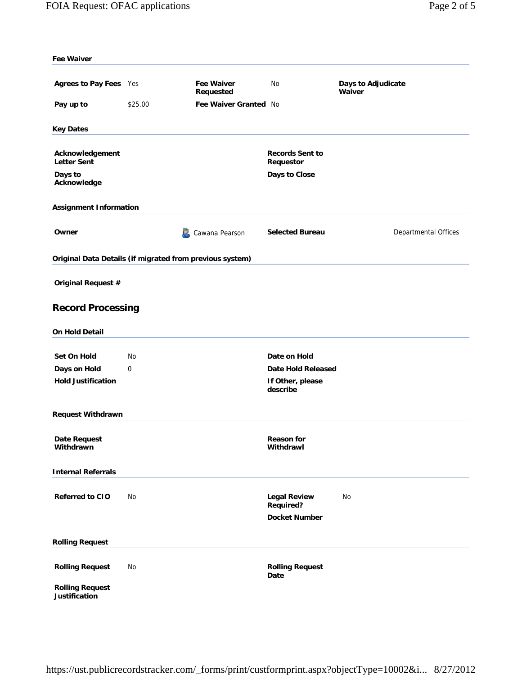| <b>Fee Waiver</b>                                        |         |                                |                                                                 |                              |
|----------------------------------------------------------|---------|--------------------------------|-----------------------------------------------------------------|------------------------------|
|                                                          |         |                                |                                                                 |                              |
| Agrees to Pay Fees Yes                                   |         | <b>Fee Waiver</b><br>Requested | No                                                              | Days to Adjudicate<br>Waiver |
| Pay up to                                                | \$25.00 | Fee Waiver Granted No          |                                                                 |                              |
| <b>Key Dates</b>                                         |         |                                |                                                                 |                              |
|                                                          |         |                                |                                                                 |                              |
| Acknowledgement<br><b>Letter Sent</b>                    |         |                                | <b>Records Sent to</b><br>Requestor                             |                              |
| Days to<br>Acknowledge                                   |         |                                | Days to Close                                                   |                              |
| <b>Assignment Information</b>                            |         |                                |                                                                 |                              |
| Owner                                                    |         | O.<br>Cawana Pearson           | <b>Selected Bureau</b>                                          | Departmental Offices         |
| Original Data Details (if migrated from previous system) |         |                                |                                                                 |                              |
| Original Request #                                       |         |                                |                                                                 |                              |
| <b>Record Processing</b>                                 |         |                                |                                                                 |                              |
| <b>On Hold Detail</b>                                    |         |                                |                                                                 |                              |
| Set On Hold                                              | No      |                                | Date on Hold                                                    |                              |
| Days on Hold                                             | 0       |                                | <b>Date Hold Released</b>                                       |                              |
| <b>Hold Justification</b>                                |         |                                | If Other, please<br>describe                                    |                              |
| <b>Request Withdrawn</b>                                 |         |                                |                                                                 |                              |
| Date Request<br>Withdrawn                                |         |                                | <b>Reason for</b><br>Withdrawl                                  |                              |
| <b>Internal Referrals</b>                                |         |                                |                                                                 |                              |
| Referred to CIO                                          | No      |                                | <b>Legal Review</b><br><b>Required?</b><br><b>Docket Number</b> | No                           |
| <b>Rolling Request</b>                                   |         |                                |                                                                 |                              |
| <b>Rolling Request</b>                                   | No      |                                | <b>Rolling Request</b><br>Date                                  |                              |
| <b>Rolling Request</b><br>Justification                  |         |                                |                                                                 |                              |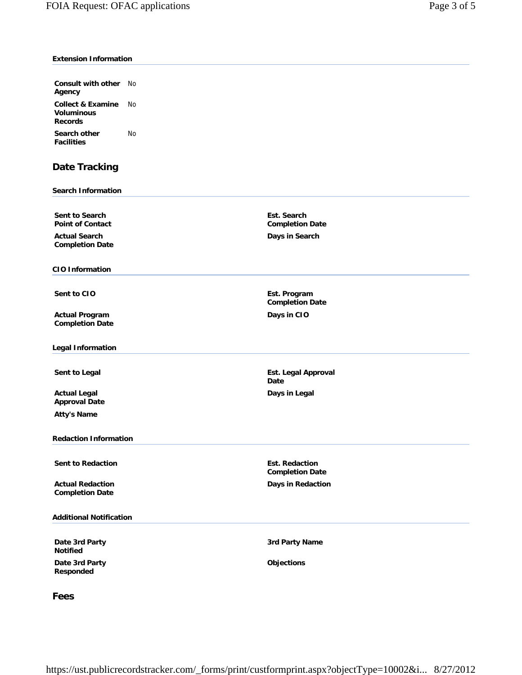## **Extension Information**

| <b>Consult with other</b> No<br>Agency                              |    |
|---------------------------------------------------------------------|----|
| <b>Collect &amp; Examine</b><br><b>Voluminous</b><br><b>Records</b> | N٥ |
| Search other<br><b>Facilities</b>                                   | N٥ |

# **Date Tracking**

#### **Search Information**

**Sent to Search Point of Contact**

**Actual Search Completion Date**

#### **CIO Information**

**Actual Program Completion Date**

**Legal Information**

**Actual Legal Approval Date Atty's Name**

#### **Redaction Information**

**Sent to Redaction**  Est. Redaction

**Actual Redaction Completion Date**

## **Additional Notification**

**Date 3rd Party Notified**

**Date 3rd Party Responded**

**Days in Search**

**Est. Search Completion Date**

**Sent to CIO** Est. Program **Completion Date Days in CIO**

**Sent to Legal Approval** *Sent* **to Legal Approval** *Est. Legal Approval* **Date Days in Legal**

> **Completion Date Days in Redaction**

**3rd Party Name**

**Objections**

**Fees**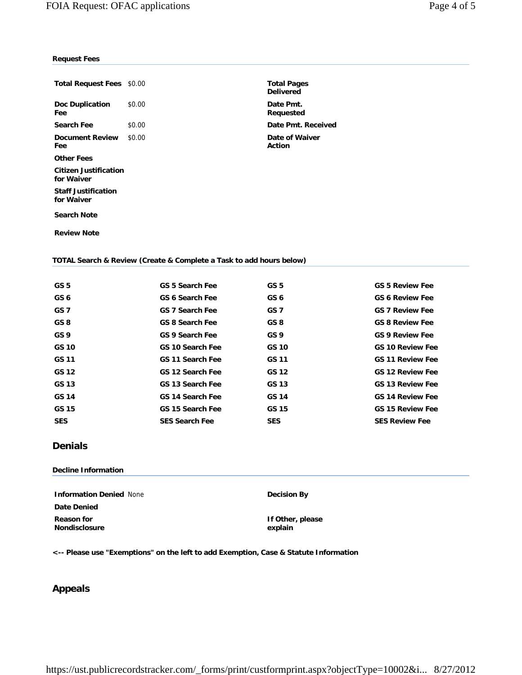## **Request Fees**

| <b>Total Request Fees \$0.00</b>         |        |
|------------------------------------------|--------|
| Doc Duplication<br>Fee                   | \$0.00 |
| Search Fee                               | \$0.00 |
| Document Review<br>Fee                   | \$0.00 |
| Other Fees                               |        |
| Citizen Justification<br>for Waiver      |        |
| <b>Staff Justification</b><br>for Waiver |        |
| <b>Search Note</b>                       |        |

**Total Pages Delivered** Date Pmt. **Requested Date Pmt. Received Date of Waiver Action**

**Review Note**

#### **TOTAL Search & Review (Create & Complete a Task to add hours below)**

| GS <sub>5</sub> | <b>GS 5 Search Fee</b>  | GS <sub>5</sub> | <b>GS 5 Review Fee</b>  |
|-----------------|-------------------------|-----------------|-------------------------|
| GS 6            | GS 6 Search Fee         | GS 6            | <b>GS 6 Review Fee</b>  |
| GS <sub>7</sub> | <b>GS 7 Search Fee</b>  | GS 7            | <b>GS 7 Review Fee</b>  |
| GS <sub>8</sub> | <b>GS 8 Search Fee</b>  | GS 8            | <b>GS 8 Review Fee</b>  |
| GS <sub>9</sub> | GS 9 Search Fee         | GS 9            | <b>GS 9 Review Fee</b>  |
| <b>GS 10</b>    | GS 10 Search Fee        | <b>GS 10</b>    | <b>GS 10 Review Fee</b> |
| GS 11           | <b>GS 11 Search Fee</b> | GS 11           | <b>GS 11 Review Fee</b> |
| GS 12           | GS 12 Search Fee        | GS 12           | <b>GS 12 Review Fee</b> |
| GS 13           | GS 13 Search Fee        | GS 13           | <b>GS 13 Review Fee</b> |
| <b>GS 14</b>    | GS 14 Search Fee        | GS 14           | <b>GS 14 Review Fee</b> |
| GS 15           | GS 15 Search Fee        | GS 15           | <b>GS 15 Review Fee</b> |
| <b>SES</b>      | <b>SES Search Fee</b>   | <b>SES</b>      | <b>SES Review Fee</b>   |

# **Denials**

### **Decline Information**

**Information Denied** None **Decision By Date Denied Reason for Nondisclosure**

**If Other, please explain**

**<-- Please use "Exemptions" on the left to add Exemption, Case & Statute Information**

# **Appeals**